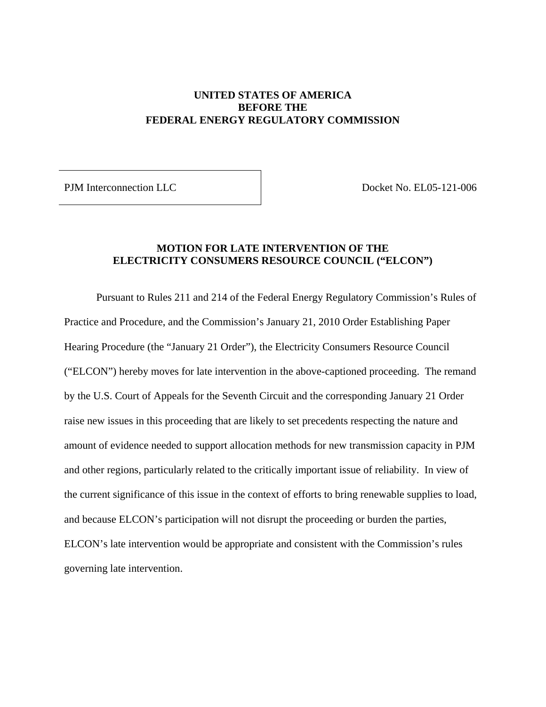## **UNITED STATES OF AMERICA BEFORE THE FEDERAL ENERGY REGULATORY COMMISSION**

PJM Interconnection LLC  $\qquad \qquad$  Docket No. EL05-121-006

## **MOTION FOR LATE INTERVENTION OF THE ELECTRICITY CONSUMERS RESOURCE COUNCIL ("ELCON")**

Pursuant to Rules 211 and 214 of the Federal Energy Regulatory Commission's Rules of Practice and Procedure, and the Commission's January 21, 2010 Order Establishing Paper Hearing Procedure (the "January 21 Order"), the Electricity Consumers Resource Council ("ELCON") hereby moves for late intervention in the above-captioned proceeding. The remand by the U.S. Court of Appeals for the Seventh Circuit and the corresponding January 21 Order raise new issues in this proceeding that are likely to set precedents respecting the nature and amount of evidence needed to support allocation methods for new transmission capacity in PJM and other regions, particularly related to the critically important issue of reliability. In view of the current significance of this issue in the context of efforts to bring renewable supplies to load, and because ELCON's participation will not disrupt the proceeding or burden the parties, ELCON's late intervention would be appropriate and consistent with the Commission's rules governing late intervention.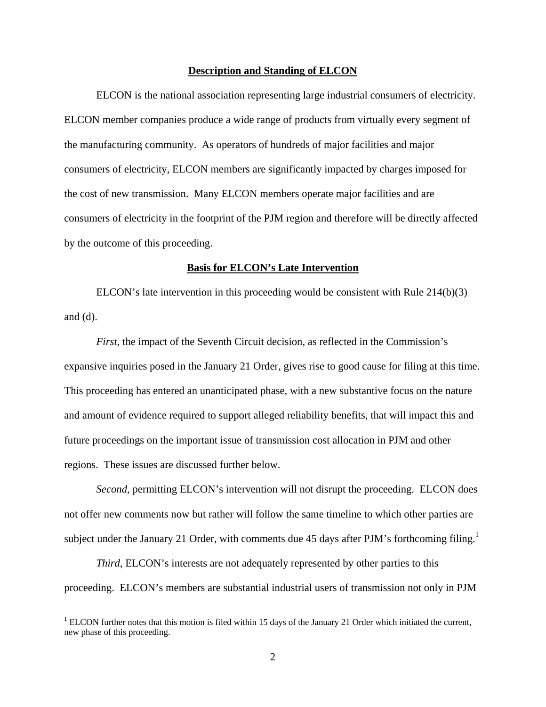#### **Description and Standing of ELCON**

ELCON is the national association representing large industrial consumers of electricity. ELCON member companies produce a wide range of products from virtually every segment of the manufacturing community. As operators of hundreds of major facilities and major consumers of electricity, ELCON members are significantly impacted by charges imposed for the cost of new transmission. Many ELCON members operate major facilities and are consumers of electricity in the footprint of the PJM region and therefore will be directly affected by the outcome of this proceeding.

#### **Basis for ELCON's Late Intervention**

ELCON's late intervention in this proceeding would be consistent with Rule 214(b)(3) and  $(d)$ .

*First*, the impact of the Seventh Circuit decision, as reflected in the Commission's expansive inquiries posed in the January 21 Order, gives rise to good cause for filing at this time. This proceeding has entered an unanticipated phase, with a new substantive focus on the nature and amount of evidence required to support alleged reliability benefits, that will impact this and future proceedings on the important issue of transmission cost allocation in PJM and other regions. These issues are discussed further below.

*Second*, permitting ELCON's intervention will not disrupt the proceeding. ELCON does not offer new comments now but rather will follow the same timeline to which other parties are subject under the January 21 Order, with comments due 45 days after PJM's forthcoming filing.<sup>1</sup>

*Third*, ELCON's interests are not adequately represented by other parties to this proceeding. ELCON's members are substantial industrial users of transmission not only in PJM

1

 $1$  ELCON further notes that this motion is filed within 15 days of the January 21 Order which initiated the current, new phase of this proceeding.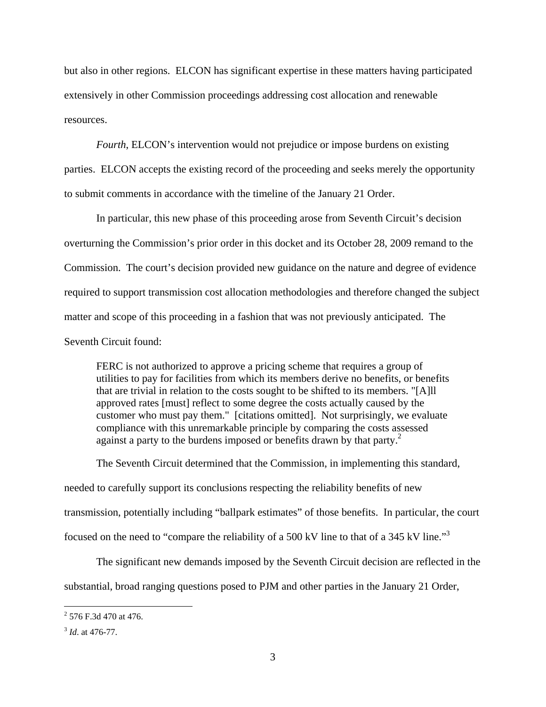but also in other regions. ELCON has significant expertise in these matters having participated extensively in other Commission proceedings addressing cost allocation and renewable resources.

*Fourth*, ELCON's intervention would not prejudice or impose burdens on existing parties. ELCON accepts the existing record of the proceeding and seeks merely the opportunity to submit comments in accordance with the timeline of the January 21 Order.

In particular, this new phase of this proceeding arose from Seventh Circuit's decision overturning the Commission's prior order in this docket and its October 28, 2009 remand to the Commission. The court's decision provided new guidance on the nature and degree of evidence required to support transmission cost allocation methodologies and therefore changed the subject matter and scope of this proceeding in a fashion that was not previously anticipated. The Seventh Circuit found:

FERC is not authorized to approve a pricing scheme that requires a group of utilities to pay for facilities from which its members derive no benefits, or benefits that are trivial in relation to the costs sought to be shifted to its members. "[A]ll approved rates [must] reflect to some degree the costs actually caused by the customer who must pay them." [citations omitted]. Not surprisingly, we evaluate compliance with this unremarkable principle by comparing the costs assessed against a party to the burdens imposed or benefits drawn by that party.<sup>2</sup>

The Seventh Circuit determined that the Commission, in implementing this standard, needed to carefully support its conclusions respecting the reliability benefits of new transmission, potentially including "ballpark estimates" of those benefits. In particular, the court focused on the need to "compare the reliability of a 500 kV line to that of a 345 kV line."<sup>3</sup>

The significant new demands imposed by the Seventh Circuit decision are reflected in the substantial, broad ranging questions posed to PJM and other parties in the January 21 Order,

 $\frac{1}{2}$  576 F.3d 470 at 476.

<sup>3</sup> *Id*. at 476-77.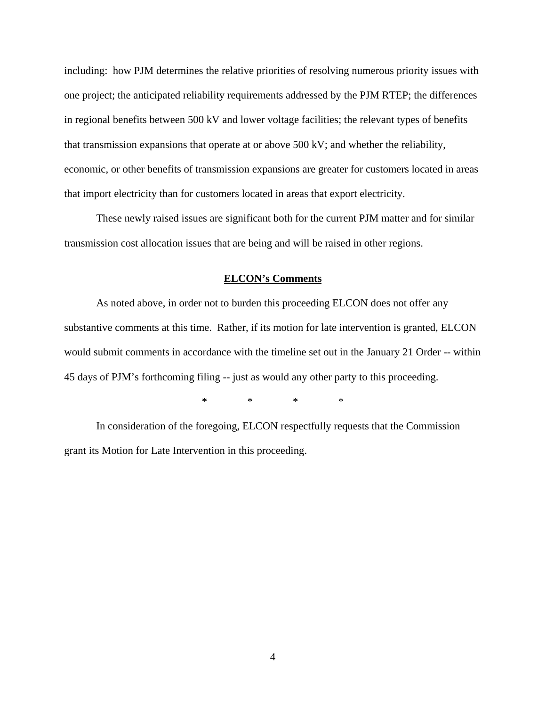including: how PJM determines the relative priorities of resolving numerous priority issues with one project; the anticipated reliability requirements addressed by the PJM RTEP; the differences in regional benefits between 500 kV and lower voltage facilities; the relevant types of benefits that transmission expansions that operate at or above 500 kV; and whether the reliability, economic, or other benefits of transmission expansions are greater for customers located in areas that import electricity than for customers located in areas that export electricity.

These newly raised issues are significant both for the current PJM matter and for similar transmission cost allocation issues that are being and will be raised in other regions.

#### **ELCON's Comments**

 As noted above, in order not to burden this proceeding ELCON does not offer any substantive comments at this time. Rather, if its motion for late intervention is granted, ELCON would submit comments in accordance with the timeline set out in the January 21 Order -- within 45 days of PJM's forthcoming filing -- just as would any other party to this proceeding.

\* \* \* \*

In consideration of the foregoing, ELCON respectfully requests that the Commission grant its Motion for Late Intervention in this proceeding.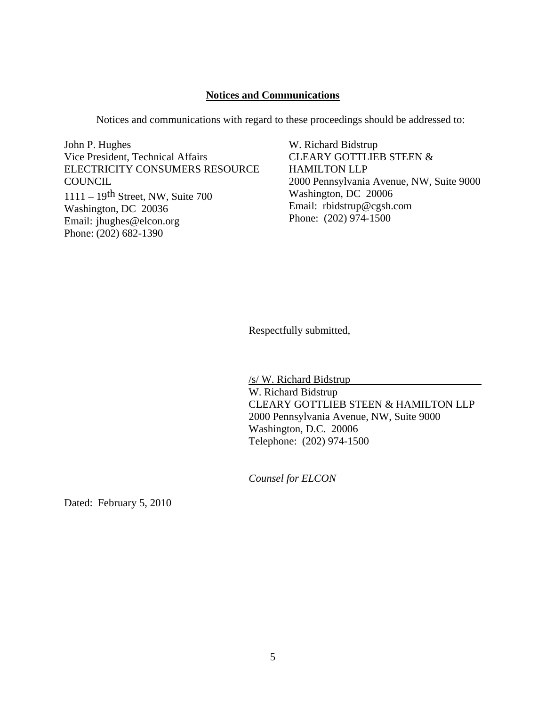## **Notices and Communications**

Notices and communications with regard to these proceedings should be addressed to:

John P. Hughes Vice President, Technical Affairs ELECTRICITY CONSUMERS RESOURCE **COUNCIL** 1111 – 19th Street, NW, Suite 700 Washington, DC 20036 Email: jhughes@elcon.org Phone: (202) 682-1390

W. Richard Bidstrup CLEARY GOTTLIEB STEEN & HAMILTON LLP 2000 Pennsylvania Avenue, NW, Suite 9000 Washington, DC 20006 Email: rbidstrup@cgsh.com Phone: (202) 974-1500

Respectfully submitted,

/s/ W. Richard Bidstrup W. Richard Bidstrup CLEARY GOTTLIEB STEEN & HAMILTON LLP 2000 Pennsylvania Avenue, NW, Suite 9000 Washington, D.C. 20006 Telephone: (202) 974-1500

*Counsel for ELCON* 

Dated: February 5, 2010